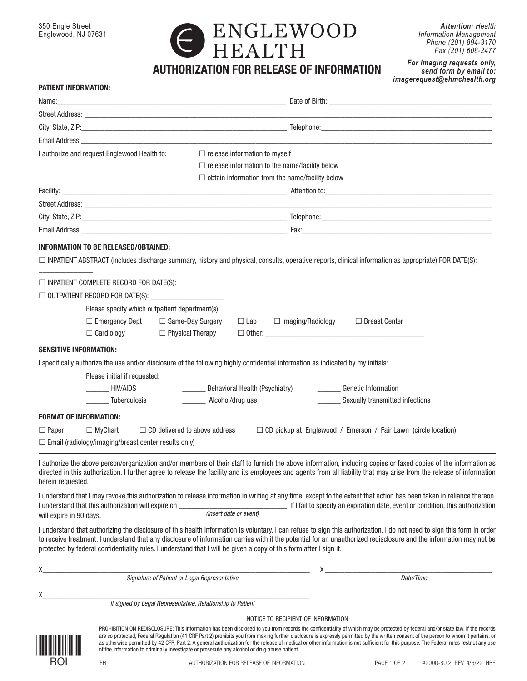

*Attention: Health Information Management Phone (201) 894-3170 Fax (201) 608-2477*

*For imaging requests only, send form by email to: imagerequest@ehmchealth.org*

| <b>PATIENT INFORMATION:</b>                                                                                                      |                                                                                                                                                                                                                                                                                                                                                                         |
|----------------------------------------------------------------------------------------------------------------------------------|-------------------------------------------------------------------------------------------------------------------------------------------------------------------------------------------------------------------------------------------------------------------------------------------------------------------------------------------------------------------------|
|                                                                                                                                  |                                                                                                                                                                                                                                                                                                                                                                         |
|                                                                                                                                  |                                                                                                                                                                                                                                                                                                                                                                         |
|                                                                                                                                  |                                                                                                                                                                                                                                                                                                                                                                         |
| Email Address: North American Section 2014 19:00 19:00 19:00 19:00 19:00 19:00 19:00 19:00 19:00 19:00 19:00 1                   |                                                                                                                                                                                                                                                                                                                                                                         |
| I authorize and request Englewood Health to:                                                                                     | $\Box$ release information to myself                                                                                                                                                                                                                                                                                                                                    |
|                                                                                                                                  | $\Box$ release information to the name/facility below                                                                                                                                                                                                                                                                                                                   |
|                                                                                                                                  | $\Box$ obtain information from the name/facility below                                                                                                                                                                                                                                                                                                                  |
|                                                                                                                                  |                                                                                                                                                                                                                                                                                                                                                                         |
|                                                                                                                                  |                                                                                                                                                                                                                                                                                                                                                                         |
|                                                                                                                                  |                                                                                                                                                                                                                                                                                                                                                                         |
|                                                                                                                                  |                                                                                                                                                                                                                                                                                                                                                                         |
| INFORMATION TO BE RELEASED/OBTAINED:                                                                                             |                                                                                                                                                                                                                                                                                                                                                                         |
|                                                                                                                                  | □ INPATIENT ABSTRACT (includes discharge summary, history and physical, consults, operative reports, clinical information as appropriate) FOR DATE(S):                                                                                                                                                                                                                  |
|                                                                                                                                  |                                                                                                                                                                                                                                                                                                                                                                         |
|                                                                                                                                  |                                                                                                                                                                                                                                                                                                                                                                         |
|                                                                                                                                  |                                                                                                                                                                                                                                                                                                                                                                         |
| Please specify which outpatient department(s):<br>□ Emergency Dept □ Same-Day Surgery                                            | $\Box$ Breast Center<br>$\Box$ Lab<br>$\Box$ Imaging/Radiology                                                                                                                                                                                                                                                                                                          |
| $\Box$ Cardiology<br>$\Box$ Physical Therapy                                                                                     |                                                                                                                                                                                                                                                                                                                                                                         |
|                                                                                                                                  |                                                                                                                                                                                                                                                                                                                                                                         |
| <b>SENSITIVE INFORMATION:</b>                                                                                                    |                                                                                                                                                                                                                                                                                                                                                                         |
| I specifically authorize the use and/or disclosure of the following highly confidential information as indicated by my initials: |                                                                                                                                                                                                                                                                                                                                                                         |
| Please initial if requested:                                                                                                     |                                                                                                                                                                                                                                                                                                                                                                         |
| HIV/AIDS<br><b>Tuberculosis</b><br>Alcohol/drug use                                                                              | Behavioral Health (Psychiatry)<br><b>Genetic Information</b><br>Sexually transmitted infections                                                                                                                                                                                                                                                                         |
|                                                                                                                                  |                                                                                                                                                                                                                                                                                                                                                                         |
| <b>FORMAT OF INFORMATION:</b>                                                                                                    |                                                                                                                                                                                                                                                                                                                                                                         |
| $\Box$ CD delivered to above address<br>$\Box$ Paper<br>$\Box$ MyChart                                                           | $\Box$ CD pickup at Englewood / Emerson / Fair Lawn (circle location)                                                                                                                                                                                                                                                                                                   |
| $\Box$ Email (radiology/imaging/breast center results only)                                                                      |                                                                                                                                                                                                                                                                                                                                                                         |
| herein requested.                                                                                                                | I authorize the above person/organization and/or members of their staff to furnish the above information, including copies or faxed copies of the information as<br>directed in this authorization. I further agree to release the facility and its employees and agents from all liability that may arise from the release of information                              |
|                                                                                                                                  | I understand that I may revoke this authorization to release information in writing at any time, except to the extent that action has been taken in reliance thereon.                                                                                                                                                                                                   |
| I understand that this authorization will expire on                                                                              | If I fail to specify an expiration date, event or condition, this authorization<br>(Insert date or event)                                                                                                                                                                                                                                                               |
| will expire in 90 days.                                                                                                          |                                                                                                                                                                                                                                                                                                                                                                         |
| protected by federal confidentiality rules. I understand that I will be given a copy of this form after I sign it.               | I understand that authorizing the disclosure of this health information is voluntary. I can refuse to sign this authorization. I do not need to sign this form in order<br>to receive treatment. I understand that any disclosure of information carries with it the potential for an unauthorized redisclosure and the information may not be                          |
|                                                                                                                                  | X                                                                                                                                                                                                                                                                                                                                                                       |
| Signature of Patient or Legal Representative                                                                                     | Date/Time                                                                                                                                                                                                                                                                                                                                                               |
|                                                                                                                                  |                                                                                                                                                                                                                                                                                                                                                                         |
| If signed by Legal Representative, Relationship to Patient                                                                       |                                                                                                                                                                                                                                                                                                                                                                         |
|                                                                                                                                  | NOTICE TO RECIPIENT OF INFORMATION                                                                                                                                                                                                                                                                                                                                      |
|                                                                                                                                  | PROHIBITION ON REDISCLOSURE: This information has been disclosed to you from records the confidentiality of which may be protected by federal and/or state law. If the records<br>are so protected, Federal Regulation (41 CRF Part 2) prohibits you from making further disclosure is expressly permitted by the written consent of the person to whom it pertains, or |

<u>\*ROIT NA MARTIN NA S</u> ROI

EH AUTHORIZATION FOR RELEASE OF INFORMATION PAGE 1 OF 2 #2000-80.2 REV. 4/6/22 HBF

of the information to criminally investigate or prosecute any alcohol or drug abuse patient.

as otherwise permitted by 42 CFR, Part 2. A general authorization for the release of medical or other information is not sufficient for this purpose. The Federal rules restrict any use